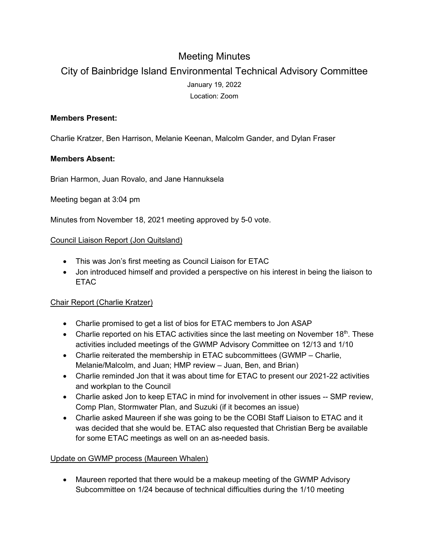# Meeting Minutes

# City of Bainbridge Island Environmental Technical Advisory Committee January 19, 2022 Location: Zoom

### **Members Present:**

Charlie Kratzer, Ben Harrison, Melanie Keenan, Malcolm Gander, and Dylan Fraser

#### **Members Absent:**

Brian Harmon, Juan Rovalo, and Jane Hannuksela

Meeting began at 3:04 pm

Minutes from November 18, 2021 meeting approved by 5-0 vote.

#### Council Liaison Report (Jon Quitsland)

- This was Jon's first meeting as Council Liaison for ETAC
- Jon introduced himself and provided a perspective on his interest in being the liaison to **ETAC**

## Chair Report (Charlie Kratzer)

- Charlie promised to get a list of bios for ETAC members to Jon ASAP
- Charlie reported on his ETAC activities since the last meeting on November  $18<sup>th</sup>$ . These activities included meetings of the GWMP Advisory Committee on 12/13 and 1/10
- Charlie reiterated the membership in ETAC subcommittees (GWMP Charlie, Melanie/Malcolm, and Juan; HMP review – Juan, Ben, and Brian)
- Charlie reminded Jon that it was about time for ETAC to present our 2021-22 activities and workplan to the Council
- Charlie asked Jon to keep ETAC in mind for involvement in other issues -- SMP review, Comp Plan, Stormwater Plan, and Suzuki (if it becomes an issue)
- Charlie asked Maureen if she was going to be the COBI Staff Liaison to ETAC and it was decided that she would be. ETAC also requested that Christian Berg be available for some ETAC meetings as well on an as-needed basis.

## Update on GWMP process (Maureen Whalen)

• Maureen reported that there would be a makeup meeting of the GWMP Advisory Subcommittee on 1/24 because of technical difficulties during the 1/10 meeting